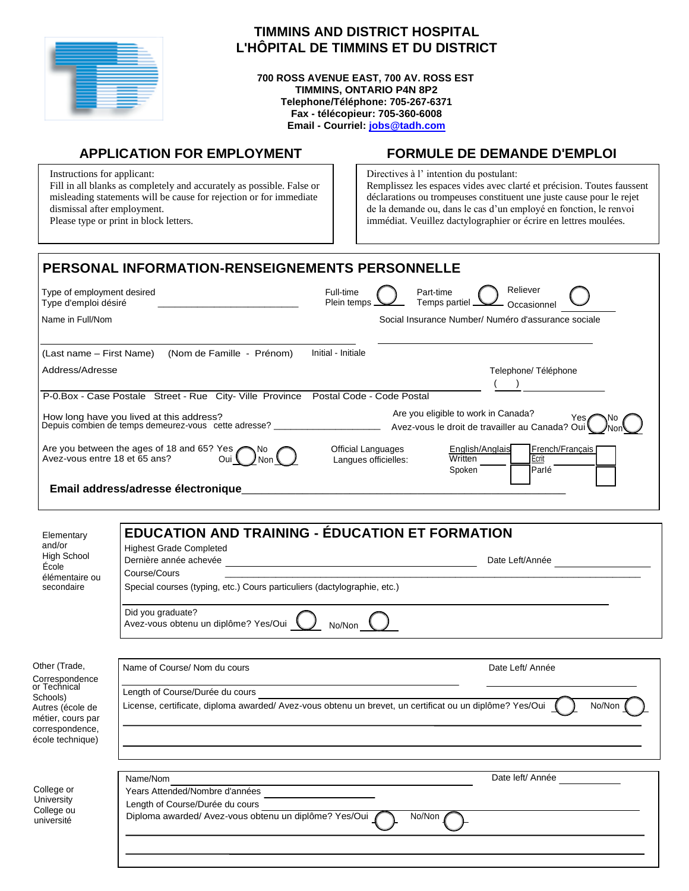| ______ |        |
|--------|--------|
|        |        |
| ______ | _____  |
|        | ______ |
|        |        |
|        |        |
|        |        |
|        |        |
|        |        |
|        |        |
|        |        |
|        |        |
|        |        |

# **TIMMINS AND DISTRICT HOSPITAL L'HÔPITAL DE TIMMINS ET DU DISTRICT**

**700 ROSS AVENUE EAST, 700 AV. ROSS EST TIMMINS, ONTARIO P4N 8P2 Telephone/Téléphone: 705-267-6371 Fax - télécopieur: 705-360-6008 Email - Courriel: [jobs@tadh.com](mailto:jobs@tadh.com)**

Instructions for applicant: Fill in all blanks as completely and accurately as possible. False or misleading statements will be cause for rejection or for immediate dismissal after employment. Please type or print in block letters.

# **APPLICATION FOR EMPLOYMENT FORMULE DE DEMANDE D'EMPLOI**

Directives à l' intention du postulant: Remplissez les espaces vides avec clarté et précision. Toutes faussent déclarations ou trompeuses constituent une juste cause pour le rejet de la demande ou, dans le cas d'un employé en fonction, le renvoi immédiat. Veuillez dactylographier or écrire en lettres moulées.

| <b>PERSONAL INFORMATION-RENSEIGNEMENTS PERSONNELLE</b>                                           |                                                                                                                                |  |  |  |  |
|--------------------------------------------------------------------------------------------------|--------------------------------------------------------------------------------------------------------------------------------|--|--|--|--|
| Type of employment desired<br>Type d'emploi désiré                                               | Reliever<br>Full-time<br>Part-time<br>Temps partiel<br>Plein temps<br>Occasionnel                                              |  |  |  |  |
| Name in Full/Nom                                                                                 | Social Insurance Number/ Numéro d'assurance sociale                                                                            |  |  |  |  |
| (Nom de Famille - Prénom)<br>(Last name – First Name)                                            | Initial - Initiale                                                                                                             |  |  |  |  |
| Address/Adresse                                                                                  | Telephone/Téléphone                                                                                                            |  |  |  |  |
| P-0.Box - Case Postale Street - Rue City-Ville Province                                          | Postal Code - Code Postal                                                                                                      |  |  |  |  |
| How long have you lived at this address?<br>Depuis combien de temps demeurez-vous cette adresse? | Are you eligible to work in Canada?<br>Yes.<br>Avez-vous le droit de travailler au Canada? Ou                                  |  |  |  |  |
| Are you between the ages of 18 and 65? Yes<br>Avez-vous entre 18 et 65 ans?                      | English/Anglais<br>French/Français<br>Official Languages<br>Written<br>Ecrit<br>Langues officielles:<br><b>Parlé</b><br>Spoken |  |  |  |  |
| Email address/adresse électronique                                                               |                                                                                                                                |  |  |  |  |
|                                                                                                  |                                                                                                                                |  |  |  |  |
| Elementary<br>and/or<br><b>Highest Grade Completed</b>                                           | <b>EDUCATION AND TRAINING - ÉDUCATION ET FORMATION</b>                                                                         |  |  |  |  |

| High School<br>École<br>élémentaire ou<br>secondaire     | <b>Hyncal Olduc Completed</b><br>Dernière année achevée<br>Date Left/Année<br>Course/Cours<br>Special courses (typing, etc.) Cours particuliers (dactylographie, etc.) |                  |  |  |  |
|----------------------------------------------------------|------------------------------------------------------------------------------------------------------------------------------------------------------------------------|------------------|--|--|--|
|                                                          | Did you graduate?<br>Avez-vous obtenu un diplôme? Yes/Oui<br>No/Non                                                                                                    |                  |  |  |  |
| Other (Trade,                                            | Name of Course/ Nom du cours                                                                                                                                           | Date Left/ Année |  |  |  |
| Correspondence<br>or Technical                           |                                                                                                                                                                        |                  |  |  |  |
| Schools)                                                 | Length of Course/Durée du cours                                                                                                                                        |                  |  |  |  |
| Autres (école de<br>métier, cours par<br>correspondence, | License, certificate, diploma awarded/ Avez-vous obtenu un brevet, un certificat ou un diplôme? Yes/Oui<br>No/Non                                                      |                  |  |  |  |
| école technique)                                         |                                                                                                                                                                        |                  |  |  |  |
|                                                          | Name/Nom                                                                                                                                                               | Date left/ Année |  |  |  |
| College or<br>University                                 | Years Attended/Nombre d'années                                                                                                                                         |                  |  |  |  |
| College ou                                               | Length of Course/Durée du cours                                                                                                                                        |                  |  |  |  |
| université                                               | No/Non<br>Diploma awarded/ Avez-vous obtenu un diplôme? Yes/Oui                                                                                                        |                  |  |  |  |
|                                                          |                                                                                                                                                                        |                  |  |  |  |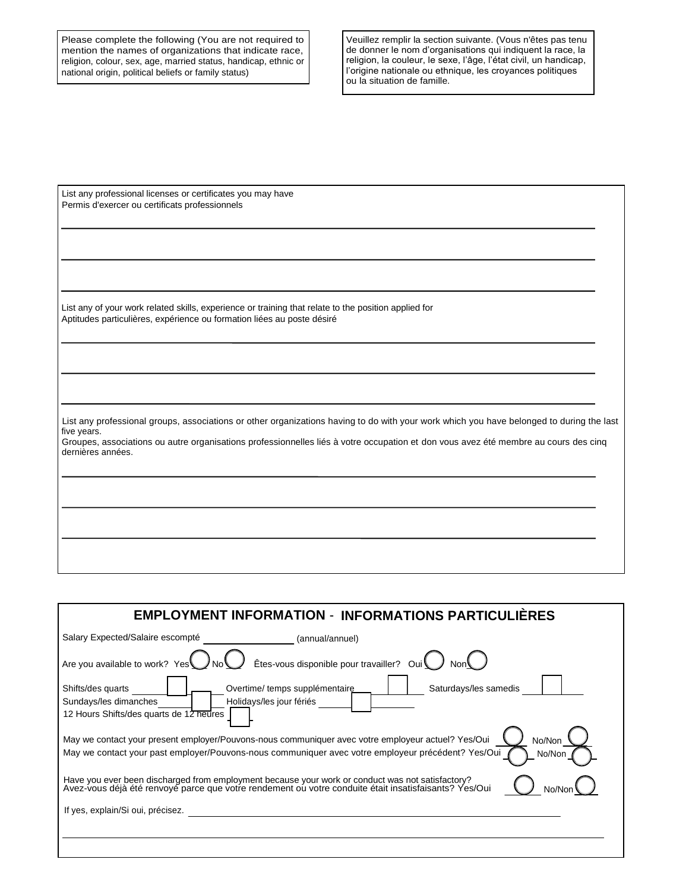Please complete the following (You are not required to mention the names of organizations that indicate race, religion, colour, sex, age, married status, handicap, ethnic or national origin, political beliefs or family status)

Veuillez remplir la section suivante. (Vous n'êtes pas tenu de donner le nom d'organisations qui indiquent la race, la religion, la couleur, le sexe, l'âge, l'état civil, un handicap, l'origine nationale ou ethnique, les croyances politiques ou la situation de famille.

List any professional licenses or certificates you may have Permis d'exercer ou certificats professionnels

List any of your work related skills, experience or training that relate to the position applied for Aptitudes particulières, expérience ou formation liées au poste désiré

List any professional groups, associations or other organizations having to do with your work which you have belonged to during the last five years.

Groupes, associations ou autre organisations professionnelles liés à votre occupation et don vous avez été membre au cours des cinq dernières années.

| <b>EMPLOYMENT INFORMATION - INFORMATIONS PARTICULIERES</b>                                                                                                                                                                   |  |  |  |  |
|------------------------------------------------------------------------------------------------------------------------------------------------------------------------------------------------------------------------------|--|--|--|--|
| Salary Expected/Salaire escompté<br>(annual/annuel)                                                                                                                                                                          |  |  |  |  |
| Êtes-vous disponible pour travailler? Oui<br>Are you available to work? Yes                                                                                                                                                  |  |  |  |  |
| Saturdays/les samedis<br>Overtime/temps supplémentaire<br>Shifts/des quarts<br>Holidays/les jour fériés<br>Sundays/les dimanches<br>12 Hours Shifts/des quarts de 12 heures                                                  |  |  |  |  |
| May we contact your present employer/Pouvons-nous communiquer avec votre employeur actuel? Yes/Oui<br>No/Non<br>May we contact your past employer/Pouvons-nous communiquer avec votre employeur précédent? Yes/Oui<br>No/Non |  |  |  |  |
| Have you ever been discharged from employment because your work or conduct was not satisfactory?<br>Avez-vous déjà été renvoyé parce que votre rendement ou votre conduite était insatisfaisants? Yes/Oui<br>No/No           |  |  |  |  |
| If yes, explain/Si oui, précisez.                                                                                                                                                                                            |  |  |  |  |
|                                                                                                                                                                                                                              |  |  |  |  |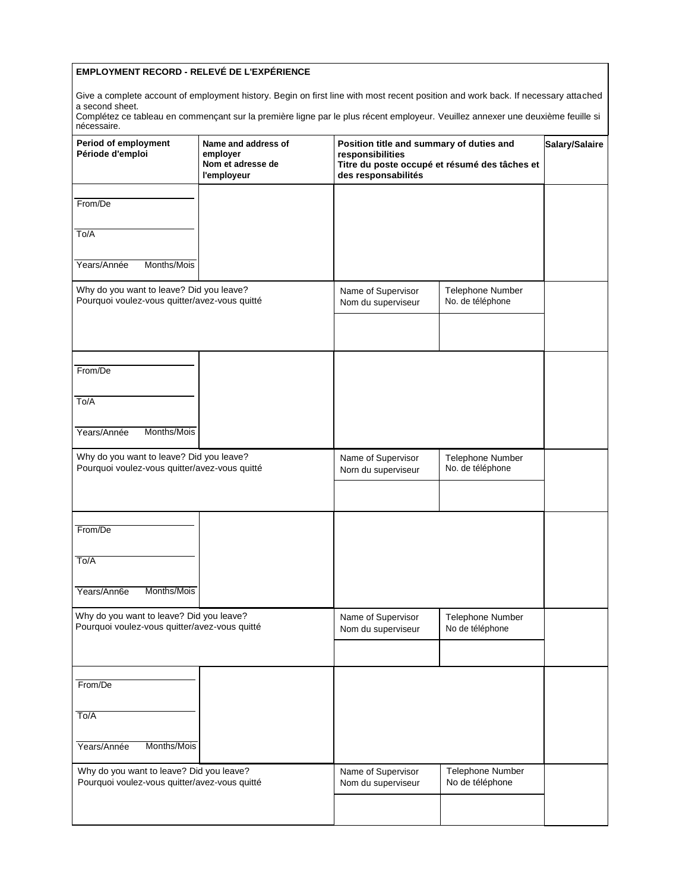## **EMPLOYMENT RECORD - RELEVÉ DE L'EXPÉRIENCE**

Give a complete account of employment history. Begin on first line with most recent position and work back. If necessary attached a second sheet.

Complétez ce tableau en commençant sur la première ligne par le plus récent employeur. Veuillez annexer une deuxième feuille si nécessaire.

| <b>Period of employment</b><br>Période d'emploi                                           | Name and address of<br>employer<br>Nom et adresse de<br>l'employeur | Position title and summary of duties and<br>responsibilities<br>Titre du poste occupé et résumé des tâches et<br>des responsabilités | Salary/Salaire                             |  |
|-------------------------------------------------------------------------------------------|---------------------------------------------------------------------|--------------------------------------------------------------------------------------------------------------------------------------|--------------------------------------------|--|
| From/De                                                                                   |                                                                     |                                                                                                                                      |                                            |  |
| To/A                                                                                      |                                                                     |                                                                                                                                      |                                            |  |
| Years/Année<br>Months/Mois                                                                |                                                                     |                                                                                                                                      |                                            |  |
| Why do you want to leave? Did you leave?<br>Pourquoi voulez-vous quitter/avez-vous quitté |                                                                     | Name of Supervisor<br>Nom du superviseur                                                                                             | Telephone Number<br>No. de téléphone       |  |
| From/De                                                                                   |                                                                     |                                                                                                                                      |                                            |  |
| To/A                                                                                      |                                                                     |                                                                                                                                      |                                            |  |
| Years/Année<br>Months/Mois                                                                |                                                                     |                                                                                                                                      |                                            |  |
| Why do you want to leave? Did you leave?<br>Pourquoi voulez-vous quitter/avez-vous quitté |                                                                     | Name of Supervisor<br>Norn du superviseur                                                                                            | Telephone Number<br>No. de téléphone       |  |
| From/De                                                                                   |                                                                     |                                                                                                                                      |                                            |  |
| To/A<br>Months/Mois<br>Years/Ann6e                                                        |                                                                     |                                                                                                                                      |                                            |  |
| Why do you want to leave? Did you leave?                                                  |                                                                     |                                                                                                                                      |                                            |  |
| Pourquoi voulez-vous quitter/avez-vous quitté                                             |                                                                     | Name of Supervisor<br>Nom du superviseur                                                                                             | Telephone Number<br>No de téléphone        |  |
| From/De                                                                                   |                                                                     |                                                                                                                                      |                                            |  |
| To/A                                                                                      |                                                                     |                                                                                                                                      |                                            |  |
| Years/Année<br>Months/Mois                                                                |                                                                     |                                                                                                                                      |                                            |  |
| Why do you want to leave? Did you leave?<br>Pourquoi voulez-vous quitter/avez-vous quitté |                                                                     | Name of Supervisor<br>Nom du superviseur                                                                                             | <b>Telephone Number</b><br>No de téléphone |  |
|                                                                                           |                                                                     |                                                                                                                                      |                                            |  |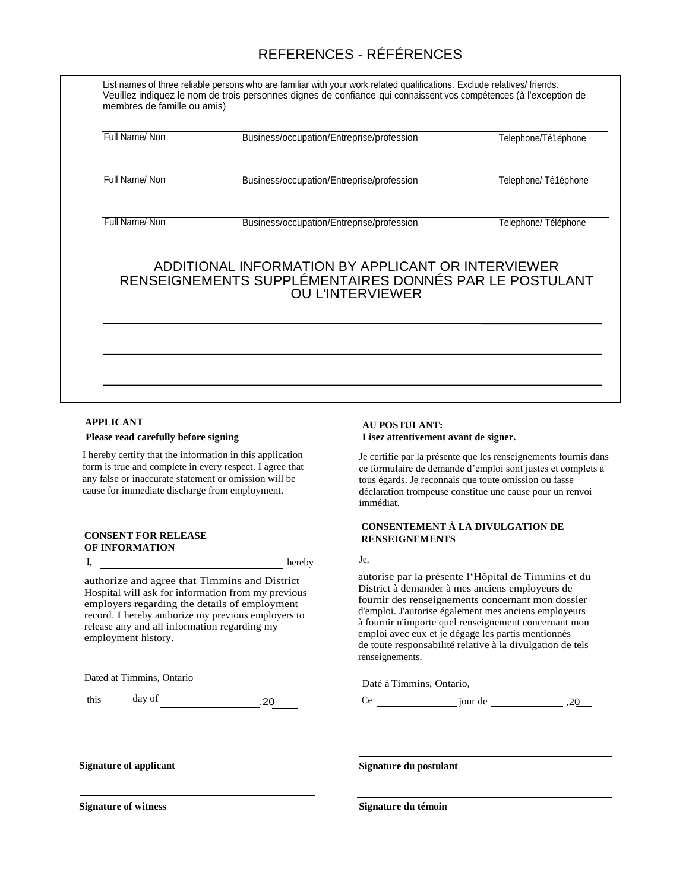# REFERENCES - RÉFÉRENCES

| Full Name/Non                                                                                                                           | Business/occupation/Entreprise/profession | Telephone/Té1éphone  |  |  |
|-----------------------------------------------------------------------------------------------------------------------------------------|-------------------------------------------|----------------------|--|--|
| Full Name/Non                                                                                                                           | Business/occupation/Entreprise/profession | Telephone/Té1éphone  |  |  |
| Full Name/Non                                                                                                                           | Business/occupation/Entreprise/profession | Telephone/ Téléphone |  |  |
| ADDITIONAL INFORMATION BY APPLICANT OR INTERVIEWER<br>RENSEIGNEMENTS SUPPLÉMENTAIRES DONNÉS PAR LE POSTULANT<br><b>OU L'INTERVIEWER</b> |                                           |                      |  |  |
|                                                                                                                                         |                                           |                      |  |  |

## **APPLICANT**

## **: Please read carefully before signing**

I hereby certify that the information in this application form is true and complete in every respect. I agree that any false or inaccurate statement or omission will be cause for immediate discharge from employment.

#### **CONSENT FOR RELEASE OF INFORMATION**

authorize and agree that Timmins and District Hospital will ask for information from my previous employers regarding the details of employment record. I hereby authorize my previous employers to release any and all information regarding my employment history.

Dated at Timmins, Ontario, Dated at Timmins, Ontario,

 $\frac{day}{1}$  day of  $,20$ 

hereby

## **AU POSTULANT: Lisez attentivement avant de signer.**

Je certifie par la présente que les renseignements fournis dans ce formulaire de demande d'emploi sont justes et complets à tous égards. Je reconnais que toute omission ou fasse déclaration trompeuse constitue une cause pour un renvoi immédiat.

### **CONSENTEMENT À LA DIVULGATION DE RENSEIGNEMENTS**

I, hereby Je,

autorise par la présente l'Hôpital de Timmins et du District à demander à mes anciens employeurs de fournir des renseignements concernant mon dossier d'emploi. J'autorise également mes anciens employeurs à fournir n'importe quel renseignement concernant mon emploi avec eux et je dégage les partis mentionnés de toute responsabilité relative à la divulgation de tels renseignements.

Ce jour de ,20

**Signature of applicant Signature du postulant**

**Signature of witness Signature du témoin**